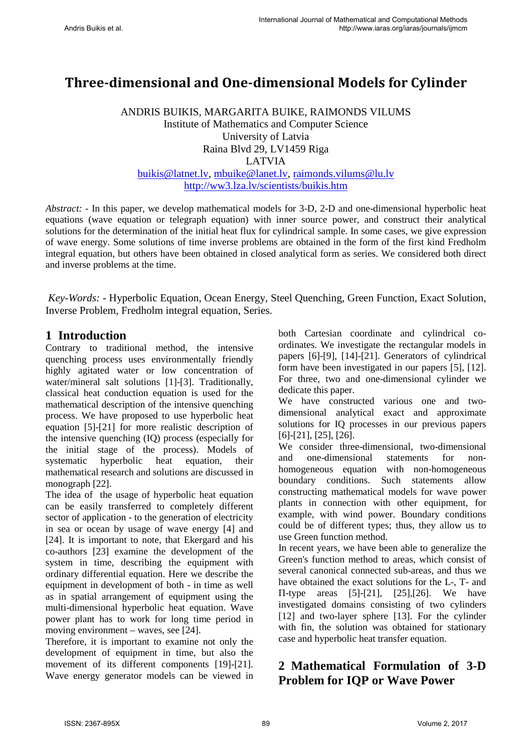# **Three-dimensional and One-dimensional Models for Cylinder**

ANDRIS BUIKIS, MARGARITA BUIKE, RAIMONDS VILUMS Institute of Mathematics and Computer Science University of Latvia Raina Blvd 29, LV1459 Riga LATVIA [buikis@latnet.lv,](mailto:buikis@latnet.lv) [mbuike@lanet.lv,](mailto:mbuike@lanet.lv) [raimonds.vilums@lu.lv](mailto:raimonds.vilums@lu.lv) <http://ww3.lza.lv/scientists/buikis.htm>

*Abstract: -* In this paper, we develop mathematical models for 3-D, 2-D and one-dimensional hyperbolic heat equations (wave equation or telegraph equation) with inner source power, and construct their analytical solutions for the determination of the initial heat flux for cylindrical sample. In some cases, we give expression of wave energy. Some solutions of time inverse problems are obtained in the form of the first kind Fredholm integral equation, but others have been obtained in closed analytical form as series. We considered both direct and inverse problems at the time.

*Key-Words: -* Hyperbolic Equation, Ocean Energy, Steel Quenching, Green Function, Exact Solution, Inverse Problem, Fredholm integral equation, Series.

#### **1 Introduction**

Contrary to traditional method, the intensive quenching process uses environmentally friendly highly agitated water or low concentration of water/mineral salt solutions [1]-[3]. Traditionally, classical heat conduction equation is used for the mathematical description of the intensive quenching process. We have proposed to use hyperbolic heat equation [5]-[21] for more realistic description of the intensive quenching (IQ) process (especially for the initial stage of the process). Models of systematic hyperbolic heat equation, their mathematical research and solutions are discussed in monograph [22].

The idea of the usage of hyperbolic heat equation can be easily transferred to completely different sector of application - to the generation of electricity in sea or ocean by usage of wave energy [4] and [24]. It is important to note, that Ekergard and his co-authors [23] examine the development of the system in time, describing the equipment with ordinary differential equation. Here we describe the equipment in development of both - in time as well as in spatial arrangement of equipment using the multi-dimensional hyperbolic heat equation. Wave power plant has to work for long time period in moving environment – waves, see [24].

Therefore, it is important to examine not only the development of equipment in time, but also the movement of its different components [19]-[21]. Wave energy generator models can be viewed in both Cartesian coordinate and cylindrical coordinates. We investigate the rectangular models in papers [6]-[9], [14]-[21]. Generators of cylindrical form have been investigated in our papers [5], [12]. For three, two and one-dimensional cylinder we dedicate this paper.

We have constructed various one and twodimensional analytical exact and approximate solutions for IQ processes in our previous papers [6]-[21], [25], [26].

We consider three-dimensional, two-dimensional and one-dimensional statements for nonhomogeneous equation with non-homogeneous boundary conditions. Such statements allow constructing mathematical models for wave power plants in connection with other equipment, for example, with wind power. Boundary conditions could be of different types; thus, they allow us to use Green function method.

In recent years, we have been able to generalize the Green's function method to areas, which consist of several canonical connected sub-areas, and thus we have obtained the exact solutions for the L-, T- and Π-type areas [5]-[21], [25],[26]. We have investigated domains consisting of two cylinders [12] and two-layer sphere [13]. For the cylinder with fin, the solution was obtained for stationary case and hyperbolic heat transfer equation.

### **2 Mathematical Formulation of 3-D Problem for IQP or Wave Power**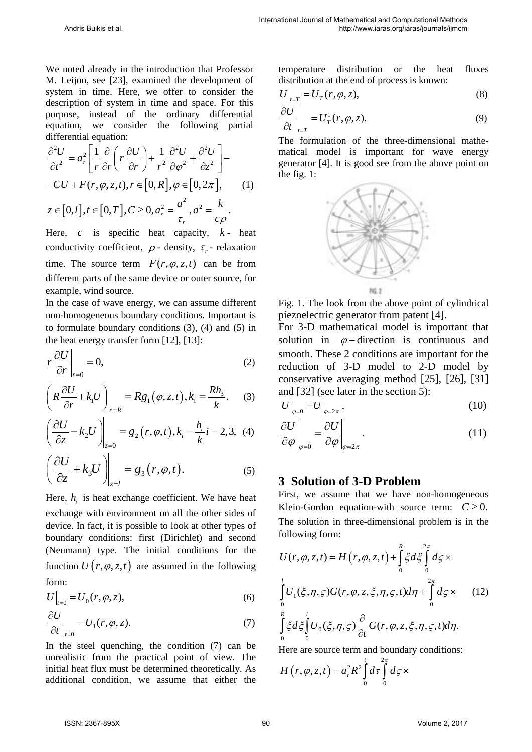We noted already in the introduction that Professor M. Leijon, see [23], examined the development of system in time. Here, we offer to consider the description of system in time and space. For this purpose, instead of the ordinary differential equation, we consider the following partial differential equation:

$$
\frac{\partial^2 U}{\partial t^2} = a_r^2 \left[ \frac{1}{r} \frac{\partial}{\partial r} \left( r \frac{\partial U}{\partial r} \right) + \frac{1}{r^2} \frac{\partial^2 U}{\partial \varphi^2} + \frac{\partial^2 U}{\partial z^2} \right] -
$$
  
-*CU* + *F*(*r*,  $\varphi$ , *z*, *t*), *r*  $\in [0, R], \varphi \in [0, 2\pi],$  (1)  
 $z \in [0, l], t \in [0, T], C \ge 0, a_r^2 = \frac{a^2}{\tau_r}, a^2 = \frac{k}{c\rho}.$ 

Here,  $c$  is specific heat capacity,  $k$ - heat conductivity coefficient,  $\rho$  - density,  $\tau$  - relaxation time. The source term  $F(r, \varphi, z, t)$  can be from different parts of the same device or outer source, for example, wind source.

In the case of wave energy, we can assume different non-homogeneous boundary conditions. Important is to formulate boundary conditions (3), (4) and (5) in the heat energy transfer form [12], [13]:

$$
r\frac{\partial U}{\partial r}\bigg|_{r=0} = 0,\tag{2}
$$

$$
\left(R\frac{\partial U}{\partial r} + k_1 U\right)\Big|_{r=R} = Rg_1(\varphi, z, t), k_1 = \frac{Rh_3}{k}.\tag{3}
$$

$$
\left(\frac{\partial U}{\partial z} - k_2 U\right)\Big|_{z=0} = g_2(r, \varphi, t), k_i = \frac{h_i}{k} i = 2, 3, (4)
$$

$$
\left(\frac{\partial U}{\partial z} + k_3 U\right)_{z=l} = g_3(r, \varphi, t). \tag{5}
$$

Here,  $h_i$  is heat exchange coefficient. We have heat exchange with environment on all the other sides of device. In fact, it is possible to look at other types of boundary conditions: first (Dirichlet) and second (Neumann) type. The initial conditions for the function  $U(r, \varphi, z, t)$  are assumed in the following form:

$$
U\big|_{t=0} = U_0(r, \varphi, z),\tag{6}
$$

$$
\left. \frac{\partial U}{\partial t} \right|_{t=0} = U_1(r, \varphi, z). \tag{7}
$$

In the steel quenching, the condition (7) can be unrealistic from the practical point of view. The initial heat flux must be determined theoretically. As additional condition, we assume that either the temperature distribution or the heat fluxes distribution at the end of process is known:

$$
U\big|_{t=T} = U_T(r, \varphi, z),\tag{8}
$$

$$
\left. \frac{\partial U}{\partial t} \right|_{t=T} = U_T^1(r, \varphi, z). \tag{9}
$$

The formulation of the three-dimensional mathematical model is important for wave energy generator [4]. It is good see from the above point on the fig. 1:



Fig. 1. The look from the above point of cylindrical piezoelectric generator from patent [4].

For 3-D mathematical model is important that solution in  $\varphi$  – direction is continuous and smooth. These 2 conditions are important for the reduction of 3-D model to 2-D model by conservative averaging method [25], [26], [31] and [32] (see later in the section 5):

$$
U\big|_{\varphi=0} = U\big|_{\varphi=2\pi},\tag{10}
$$

$$
\left. \frac{\partial U}{\partial \varphi} \right|_{\varphi=0} = \left. \frac{\partial U}{\partial \varphi} \right|_{\varphi=2\pi} . \tag{11}
$$

#### **3 Solution of 3-D Problem**

First, we assume that we have non-homogeneous Klein-Gordon equation-with source term:  $C \geq 0$ . The solution in three-dimensional problem is in the following form:

$$
U(r, \varphi, z, t) = H(r, \varphi, z, t) + \int_{0}^{R} \xi d\xi \int_{0}^{2\pi} d\zeta \times
$$
  

$$
\int_{0}^{l} U_{1}(\xi, \eta, \zeta) G(r, \varphi, z, \xi, \eta, \zeta, t) d\eta + \int_{0}^{2\pi} d\zeta \times (12)
$$
  

$$
\int_{0}^{R} \xi d\xi \int_{0}^{l} U_{0}(\xi, \eta, \zeta) \frac{\partial}{\partial t} G(r, \varphi, z, \xi, \eta, \zeta, t) d\eta.
$$

Here are source term and boundary conditions:

$$
H(r, \varphi, z, t) = a_{\tau}^{2} R^{2} \int_{0}^{t} d\tau \int_{0}^{2\pi} d\zeta \times
$$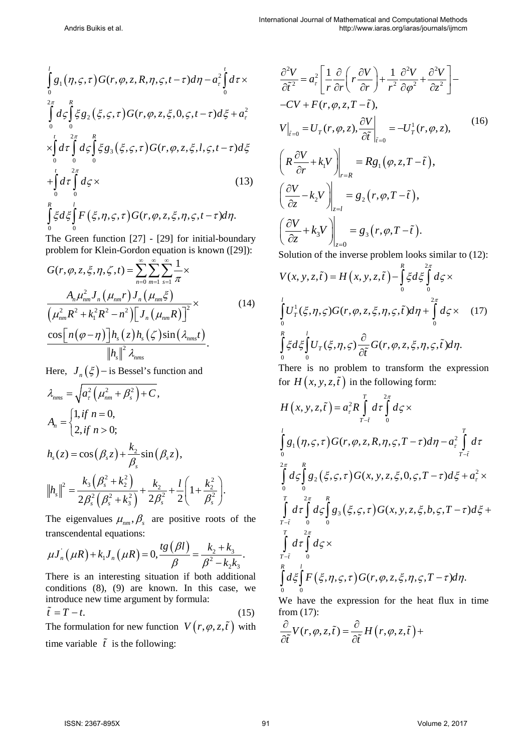$$
\int_{0}^{1} g_{1}(\eta,\varsigma,\tau) G(r,\varphi,z,R,\eta,\varsigma,t-\tau) d\eta - a_{\tau}^{2} \int_{0}^{t} d\tau \times \n\int_{0}^{2\pi} d\varsigma \int_{0}^{R} \xi g_{2}(\xi,\varsigma,\tau) G(r,\varphi,z,\xi,0,\varsigma,t-\tau) d\xi + a_{\tau}^{2} \n\times \int_{0}^{1} d\tau \int_{0}^{2\pi} d\varsigma \int_{0}^{R} \xi g_{3}(\xi,\varsigma,\tau) G(r,\varphi,z,\xi,l,\varsigma,t-\tau) d\xi \n+ \int_{0}^{t} d\tau \int_{0}^{2\pi} d\varsigma \times \qquad (13) \n\int_{0}^{R} \xi d\xi \int_{0}^{l} F(\xi,\eta,\varsigma,\tau) G(r,\varphi,z,\xi,\eta,\varsigma,t-\tau) d\eta.
$$

The Green function [27] - [29] for initial-boundary problem for Klein-Gordon equation is known ([29]):

$$
G(r, \varphi, z, \xi, \eta, \zeta, t) = \sum_{n=0}^{\infty} \sum_{m=1}^{\infty} \sum_{s=1}^{\infty} \frac{1}{\pi} \times
$$
  

$$
\frac{A_n \mu_{nm}^2 J_n (\mu_{nm} r) J_n (\mu_{nm} \xi)}{(\mu_{nm}^2 R^2 + k_1^2 R^2 - n^2) \Big[ J_n (\mu_{nm} R) \Big]^2} \times
$$
  

$$
\frac{\cos \Big[ n (\varphi - \eta) \Big] h_s (z) h_s (\zeta) \sin (\lambda_{nms} t)}{\|h_s\|^2 \lambda_{nms}}.
$$
 (14)

Here,  $J_n(\xi)$  – is Bessel's function and

$$
\lambda_{nms} = \sqrt{a_r^2 \left(\mu_{nm}^2 + \beta_s^2\right) + C},
$$
\n
$$
A_n = \begin{cases} 1, & \text{if } n = 0, \\ 2, & \text{if } n > 0; \end{cases}
$$
\n
$$
h_s(z) = \cos\left(\beta_s z\right) + \frac{k_2}{\beta_s} \sin\left(\beta_s z\right),
$$
\n
$$
\left\|h_s\right\|^2 = \frac{k_3 \left(\beta_s^2 + k_2^2\right)}{2\beta_s^2 \left(\beta_s^2 + k_3^2\right)} + \frac{k_2}{2\beta_s^2} + \frac{l}{2} \left(1 + \frac{k_2^2}{\beta_s^2}\right).
$$

The eigenvalues  $\mu_{nm}$ ,  $\beta_s$  are positive roots of the transcendental equations:

$$
\mu J_n(\mu R) + k_1 J_n(\mu R) = 0, \frac{tg(\beta l)}{\beta} = \frac{k_2 + k_3}{\beta^2 - k_2 k_3}.
$$

There is an interesting situation if both additional conditions (8), (9) are known. In this case, we introduce new time argument by formula:

$$
\tilde{t} = T - t.\tag{15}
$$

The formulation for new function  $V(r, \varphi, z, \tilde{t})$  with time variable  $\tilde{t}$  is the following:

$$
\frac{\partial^2 V}{\partial \tilde{t}^2} = a_r^2 \left[ \frac{1}{r} \frac{\partial}{\partial r} \left( r \frac{\partial V}{\partial r} \right) + \frac{1}{r^2} \frac{\partial^2 V}{\partial \varphi^2} + \frac{\partial^2 V}{\partial z^2} \right] - CV + F(r, \varphi, z, T - \tilde{t}),
$$
\n
$$
V\Big|_{\tilde{t}=0} = U_T(r, \varphi, z), \frac{\partial V}{\partial \tilde{t}}\Big|_{\tilde{t}=0} = -U_T^1(r, \varphi, z),
$$
\n
$$
\left( R \frac{\partial V}{\partial r} + k_1 V \right) \Big|_{r=R} = R g_1 \left( \varphi, z, T - \tilde{t} \right),
$$
\n
$$
\left( \frac{\partial V}{\partial z} - k_2 V \right) \Big|_{z=l} = g_2 \left( r, \varphi, T - \tilde{t} \right),
$$
\n
$$
\left( \frac{\partial V}{\partial z} + k_3 V \right) \Big|_{z=0} = g_3 \left( r, \varphi, T - \tilde{t} \right).
$$
\n
$$
\left( \frac{\partial V}{\partial z} + k_3 V \right) \Big|_{z=0} = g_3 \left( r, \varphi, T - \tilde{t} \right).
$$
\n(16)

Solution of the inverse problem looks similar to (12):

$$
V(x, y, z, \tilde{t}) = H(x, y, z, \tilde{t}) - \int_{0}^{R} \xi d\xi \int_{0}^{2\pi} d\zeta \times
$$
  

$$
\int_{0}^{l} U_{T}^{1}(\xi, \eta, \zeta) G(r, \varphi, z, \xi, \eta, \zeta, \tilde{t}) d\eta + \int_{0}^{2\pi} d\zeta \times (17)
$$
  

$$
\int_{0}^{R} \xi d\xi \int_{0}^{l} U_{T}(\xi, \eta, \zeta) \frac{\partial}{\partial \tilde{t}} G(r, \varphi, z, \xi, \eta, \zeta, \tilde{t}) d\eta.
$$

There is no problem to transform the expression for  $H(x, y, z, \tilde{t})$  in the following form:

$$
H(x, y, z, \tilde{t}) = a_{\tau}^{2} R \int_{T-\tilde{t}}^{T} d\tau \int_{0}^{2\pi} d\zeta \times
$$
  
\n
$$
\int_{0}^{l} g_{1}(\eta, \zeta, \tau) G(r, \varphi, z, R, \eta, \zeta, T - \tau) d\eta - a_{\tau}^{2} \int_{T-\tilde{t}}^{T} d\tau
$$
  
\n
$$
\int_{0}^{2\pi} d\zeta \int_{0}^{R} g_{2}(\xi, \zeta, \tau) G(x, y, z, \xi, 0, \zeta, T - \tau) d\xi + a_{\tau}^{2} \times
$$
  
\n
$$
\int_{T-\tilde{t}}^{T} d\tau \int_{0}^{2\pi} d\zeta \int_{0}^{R} g_{3}(\xi, \zeta, \tau) G(x, y, z, \xi, b, \zeta, T - \tau) d\xi +
$$
  
\n
$$
\int_{T-\tilde{t}}^{T} d\tau \int_{0}^{2\pi} d\zeta \times
$$
  
\n
$$
\int_{0}^{R} d\xi \int_{0}^{l} F(\xi, \eta, \zeta, \tau) G(r, \varphi, z, \xi, \eta, \zeta, T - \tau) d\eta.
$$

We have the expression for the heat flux in time from (17):

$$
\frac{\partial}{\partial \tilde{t}} V(r, \varphi, z, \tilde{t}) = \frac{\partial}{\partial \tilde{t}} H(r, \varphi, z, \tilde{t}) +
$$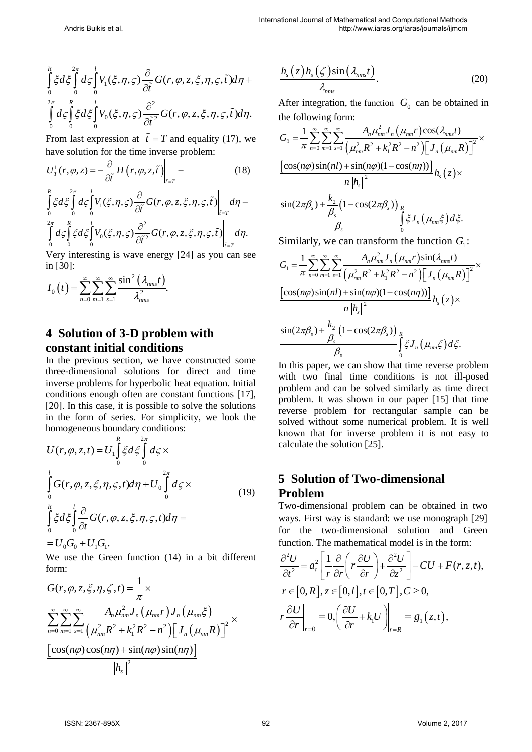$$
\int_{0}^{R} \xi d\xi \int_{0}^{2\pi} d\varsigma \int_{0}^{l} V_{1}(\xi, \eta, \varsigma) \frac{\partial}{\partial \tilde{t}} G(r, \varphi, z, \xi, \eta, \varsigma, \tilde{t}) d\eta +
$$
  

$$
\int_{0}^{2\pi} d\varsigma \int_{0}^{R} \xi d\xi \int_{0}^{l} V_{0}(\xi, \eta, \varsigma) \frac{\partial^{2}}{\partial \tilde{t}^{2}} G(r, \varphi, z, \xi, \eta, \varsigma, \tilde{t}) d\eta.
$$

From last expression at  $\tilde{t} = T$  and equality (17), we have solution for the time inverse problem:

$$
U_T^1(r, \varphi, z) = -\frac{\partial}{\partial \tilde{t}} H(r, \varphi, z, \tilde{t}) \Big|_{\tilde{t} = T} - \tag{18}
$$

$$
\int_{0}^{R} \xi d\xi \int_{0}^{2\pi} d\xi \int_{0}^{l} V_{1}(\xi, \eta, \varsigma) \frac{\partial}{\partial \tilde{t}} G(r, \varphi, z, \xi, \eta, \varsigma, \tilde{t}) \Big|_{\tilde{t}=r} d\eta - \int_{0}^{2\pi} d\xi \int_{0}^{R} \xi d\xi \int_{0}^{l} V_{0}(\xi, \eta, \varsigma) \frac{\partial^{2}}{\partial \tilde{t}^{2}} G(r, \varphi, z, \xi, \eta, \varsigma, \tilde{t}) \Big|_{\tilde{t}=r} d\eta.
$$

Very interesting is wave energy [24] as you can see in [30]:

$$
I_0(t) = \sum_{n=0}^{\infty} \sum_{m=1}^{\infty} \sum_{s=1}^{\infty} \frac{\sin^2\left(\lambda_{nms}t\right)}{\lambda_{nms}^2}.
$$

## **4 Solution of 3-D problem with constant initial conditions**

In the previous section, we have constructed some three-dimensional solutions for direct and time inverse problems for hyperbolic heat equation. Initial conditions enough often are constant functions [17], [20]. In this case, it is possible to solve the solutions in the form of series. For simplicity, we look the homogeneous boundary conditions:

$$
U(r, \varphi, z, t) = U_1 \int_0^R \xi d\xi \int_0^{2\pi} d\zeta \times
$$
  

$$
\int_0^l G(r, \varphi, z, \xi, \eta, \zeta, t) d\eta + U_0 \int_0^{2\pi} d\zeta \times
$$
  

$$
\int_0^R \xi d\xi \int_0^l \frac{\partial}{\partial t} G(r, \varphi, z, \xi, \eta, \zeta, t) d\eta =
$$
  

$$
= U_0 G_0 + U_1 G_1.
$$
 (19)

We use the Green function (14) in a bit different form:

$$
G(r, \varphi, z, \xi, \eta, \zeta, t) = \frac{1}{\pi} \times
$$
  

$$
\sum_{n=0}^{\infty} \sum_{m=1}^{\infty} \sum_{s=1}^{\infty} \frac{A_n \mu_{nm}^2 J_n(\mu_{nm} r) J_n(\mu_{nm} \xi)}{(\mu_{nm}^2 R^2 + k_1^2 R^2 - n^2) [J_n(\mu_{nm} R)]^2} \times
$$
  

$$
\frac{[\cos(n\varphi)\cos(n\eta) + \sin(n\varphi)\sin(n\eta)]}{\|h_s\|^2}
$$

$$
\frac{h_s(z)h_s(\zeta)\sin(\lambda_{nms}t)}{\lambda_{nms}}.\t(20)
$$

After integration, the function  $G_0$  can be obtained in the following form:

$$
G_0 = \frac{1}{\pi} \sum_{n=0}^{\infty} \sum_{m=1}^{\infty} \sum_{s=1}^{\infty} \frac{A_n \mu_{nm}^2 J_n(\mu_{nm} r) \cos(\lambda_{nms} t)}{(\mu_{nm}^2 R^2 + k_1^2 R^2 - n^2) [\int J_n(\mu_{nm} R)]^2} \times \frac{[\cos(n\varphi)\sin(nl) + \sin(n\varphi)(1 - \cos(n\eta))] }{n ||h_s||^2} h_s(z) \times \frac{\sin(2\pi\beta_s) + \frac{k_2}{\beta_s} (1 - \cos(2\pi\beta_s))}{\beta_s} \int_S \xi J_n(\mu_{nm}\xi) d\xi.
$$

Similarly, we can transform the function  $G_1$ :

$$
G_{1} = \frac{1}{\pi} \sum_{n=0}^{\infty} \sum_{m=1}^{\infty} \sum_{s=1}^{\infty} \frac{A_{n} \mu_{nm}^{2} J_{n}(\mu_{nm} r) \sin(\lambda_{nms} t)}{(\mu_{nm}^{2} R^{2} + k_{1}^{2} R^{2} - n^{2}) \Big[ J_{n}(\mu_{nm} R) \Big]^{2}} \times \frac{\Big[ \cos(n\varphi) \sin(nl) + \sin(n\varphi)(1 - \cos(n\eta)) \Big]}{n \|h_{s}\|^{2}} h_{s}(z) \times \frac{\sin(2\pi \beta_{s}) + \frac{k_{2}}{\beta_{s}} \Big( 1 - \cos(2\pi \beta_{s}) \Big)_{R}}{\beta_{s}} \int_{0}^{R} \xi J_{n}(\mu_{nm} \xi) d\xi.
$$

In this paper, we can show that time reverse problem with two final time conditions is not ill-posed problem and can be solved similarly as time direct problem. It was shown in our paper [15] that time reverse problem for rectangular sample can be solved without some numerical problem. It is well known that for inverse problem it is not easy to calculate the solution [25].

### **5 Solution of Two-dimensional Problem**

Two-dimensional problem can be obtained in two ways. First way is standard: we use monograph [29] for the two-dimensional solution and Green function. The mathematical model is in the form:

$$
\frac{\partial^2 U}{\partial t^2} = a_r^2 \left[ \frac{1}{r} \frac{\partial}{\partial r} \left( r \frac{\partial U}{\partial r} \right) + \frac{\partial^2 U}{\partial z^2} \right] - CU + F(r, z, t),
$$
  
\n
$$
r \in [0, R], z \in [0, l], t \in [0, T], C \ge 0,
$$
  
\n
$$
r \frac{\partial U}{\partial r} \Big|_{r=0} = 0, \left( \frac{\partial U}{\partial r} + k_1 U \right) \Big|_{r=R} = g_1(z, t),
$$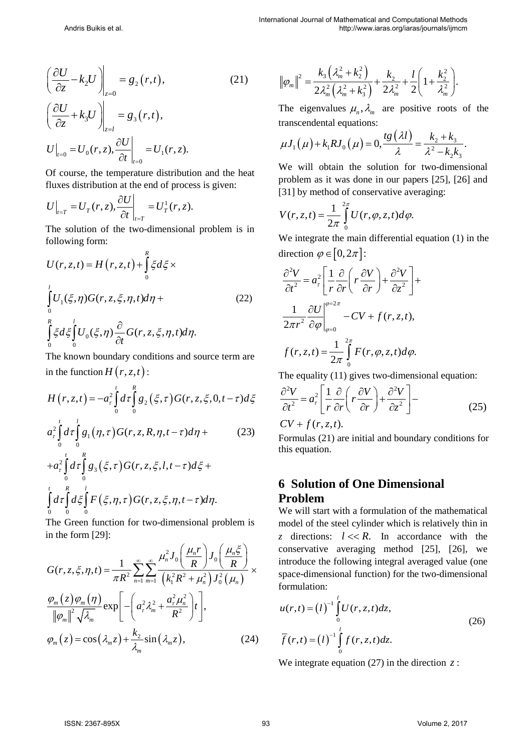$$
\left(\frac{\partial U}{\partial z} - k_2 U\right)\Big|_{z=0} = g_2(r, t),\tag{21}
$$
\n
$$
\left(\frac{\partial U}{\partial z} + k_3 U\right)\Big|_{z=l} = g_3(r, t),
$$
\n
$$
U\Big|_{t=0} = U_0(r, z), \frac{\partial U}{\partial t}\Big|_{t=0} = U_1(r, z).
$$

Of course, the temperature distribution and the heat fluxes distribution at the end of process is given:

$$
U\Big|_{t=T} = U_T(r, z), \frac{\partial U}{\partial t}\Big|_{t=T} = U_T^1(r, z).
$$

The solution of the two-dimensional problem is in following form:

$$
U(r, z, t) = H(r, z, t) + \int_{0}^{R} \xi d\xi \times
$$
  

$$
\int_{0}^{l} U_{1}(\xi, \eta)G(r, z, \xi, \eta, t)d\eta + \int_{0}^{R} \xi d\xi \int_{0}^{l} U_{0}(\xi, \eta) \frac{\partial}{\partial t} G(r, z, \xi, \eta, t)d\eta.
$$
 (22)

The known boundary conditions and source term are in the function  $H(r, z, t)$ :

$$
H(r, z, t) = -a_r^2 \int_0^t d\tau \int_0^R g_2(\xi, \tau) G(r, z, \xi, 0, t - \tau) d\xi
$$

$$
a_{\tau}^{2} \int_{0}^{1} d\tau \int_{0}^{1} g_{1}(\eta, \tau) G(r, z, R, \eta, t-\tau) d\eta + \tag{23}
$$

$$
+a_\tau^2 \int_0^t d\tau \int_0^R g_3(\xi,\tau) G(r,z,\xi,l,t-\tau) d\xi +
$$
  

$$
\int_0^t d\tau \int_0^R d\xi \int_0^l F(\xi,\eta,\tau) G(r,z,\xi,\eta,t-\tau) d\eta.
$$

The Green function for two-dimensional problem is in the form [29]:

$$
G(r, z, \xi, \eta, t) = \frac{1}{\pi R^2} \sum_{n=1}^{\infty} \sum_{m=1}^{\infty} \frac{\mu_n^2 J_0 \left(\frac{\mu_n r}{R}\right) J_0 \left(\frac{\mu_n \xi}{R}\right)}{\left(k_1^2 R^2 + \mu_n^2\right) J_0^2 \left(\mu_n\right)} \times \frac{\varphi_m(z) \varphi_m(\eta)}{\|\varphi_m\|^2 \sqrt{\lambda_m}} \exp\left[-\left(a_r^2 \lambda_m^2 + \frac{a_r^2 \mu_n^2}{R^2}\right) t\right],
$$
\n
$$
\varphi_m(z) = \cos\left(\lambda_m z\right) + \frac{k_2}{\lambda_m} \sin\left(\lambda_m z\right),
$$
\n(24)

$$
\|\varphi_m\|^2 = \frac{k_3(\lambda_m^2 + k_2^2)}{2\lambda_m^2(\lambda_m^2 + k_3^2)} + \frac{k_2}{2\lambda_m^2} + \frac{l}{2}\left(1 + \frac{k_2^2}{\lambda_m^2}\right).
$$

The eigenvalues  $\mu_n$ ,  $\lambda_m$  are positive roots of the transcendental equations:

$$
\mu J_1(\mu) + k_1 R J_0(\mu) = 0, \frac{t g(\lambda l)}{\lambda} = \frac{k_2 + k_3}{\lambda^2 - k_2 k_3}.
$$

We will obtain the solution for two-dimensional problem as it was done in our papers [25], [26] and [31] by method of conservative averaging:

$$
V(r, z, t) = \frac{1}{2\pi} \int_{0}^{2\pi} U(r, \varphi, z, t) d\varphi.
$$

We integrate the main differential equation (1) in the direction  $\varphi \in [0, 2\pi]$ :

$$
\frac{\partial^2 V}{\partial t^2} = a_r^2 \left[ \frac{1}{r} \frac{\partial}{\partial r} \left( r \frac{\partial V}{\partial r} \right) + \frac{\partial^2 V}{\partial z^2} \right] +
$$
  

$$
\frac{1}{2\pi r^2} \frac{\partial U}{\partial \varphi} \Big|_{\varphi=0}^{\varphi=2\pi} - CV + f(r, z, t),
$$
  

$$
f(r, z, t) = \frac{1}{2\pi} \int_0^{2\pi} F(r, \varphi, z, t) d\varphi.
$$

The equality (11) gives two-dimensional equation:

$$
\frac{\partial^2 V}{\partial t^2} = a_\tau^2 \left[ \frac{1}{r} \frac{\partial}{\partial r} \left( r \frac{\partial V}{\partial r} \right) + \frac{\partial^2 V}{\partial z^2} \right] - \tag{25}
$$

 $CV + f(r, z, t)$ .

Formulas (21) are initial and boundary conditions for this equation.

### **6 Solution of One Dimensional Problem**

We will start with a formulation of the mathematical model of the steel cylinder which is relatively thin in *z* directions:  $l \ll R$ . In accordance with the conservative averaging method [25], [26], we introduce the following integral averaged value (one space-dimensional function) for the two-dimensional formulation:

$$
u(r,t) = (l)^{-1} \int_{0}^{l} U(r, z, t) dz,
$$
  

$$
\overline{f}(r,t) = (l)^{-1} \int_{0}^{l} f(r, z, t) dz.
$$
 (26)

We integrate equation (27) in the direction *z* :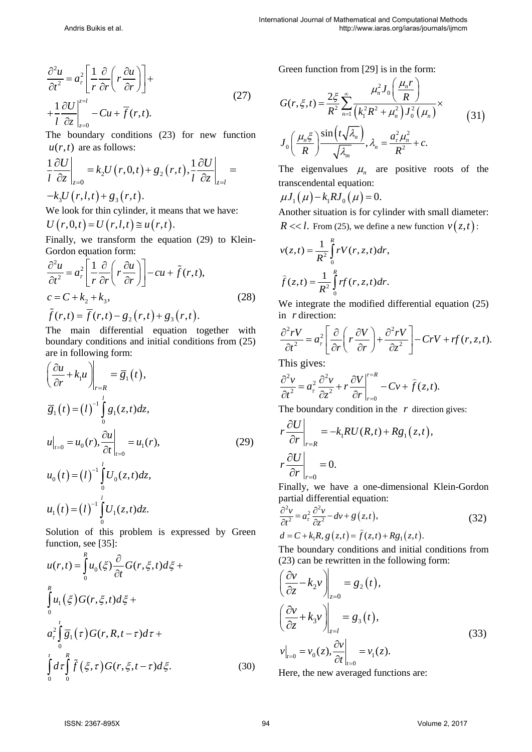$$
\frac{\partial^2 u}{\partial t^2} = a_\tau^2 \left[ \frac{1}{r} \frac{\partial}{\partial r} \left( r \frac{\partial u}{\partial r} \right) \right] +
$$
  
+ 
$$
\frac{1}{l} \frac{\partial U}{\partial z} \Big|_{z=0}^{z=l} - Cu + \overline{f}(r, t).
$$
 (27)

The boundary conditions (23) for new function  $u(r,t)$  are as follows:

$$
\frac{1}{l} \frac{\partial U}{\partial z}\bigg|_{z=0} = k_2 U(r, 0, t) + g_2(r, t), \frac{1}{l} \frac{\partial U}{\partial z}\bigg|_{z=l} = -k_3 U(r, l, t) + g_3(r, t).
$$

We look for thin cylinder, it means that we have:

$$
U(r,0,t)=U(r,l,t)\cong u(r,t).
$$

Finally, we transform the equation (29) to Klein-Gordon equation form:

$$
\frac{\partial^2 u}{\partial t^2} = a_\tau^2 \left[ \frac{1}{r} \frac{\partial}{\partial r} \left( r \frac{\partial u}{\partial r} \right) \right] - cu + \tilde{f}(r, t),
$$
  
\n
$$
c = C + k_2 + k_3,
$$
  
\n
$$
\tilde{f}(r, t) = \overline{f}(r, t) - g_2(r, t) + g_3(r, t).
$$
\n(28)

The main differential equation together with boundary conditions and initial conditions from (25) are in following form:

$$
\left(\frac{\partial u}{\partial r} + k_1 u\right)\Big|_{r=R} = \overline{g}_1(t),
$$
\n
$$
\overline{g}_1(t) = (t)^{-1} \int_0^t g_1(z, t) dz,
$$
\n
$$
u\Big|_{t=0} = u_0(r), \frac{\partial u}{\partial t}\Big|_{t=0} = u_1(r),
$$
\n
$$
u_0(t) = (t)^{-1} \int_0^t U_0(z, t) dz,
$$
\n
$$
u_1(t) = (t)^{-1} \int_0^t U_1(z, t) dz.
$$
\n(29)

Solution of this problem is expressed by Green function, see [35]:

$$
u(r,t) = \int_{0}^{R} u_0(\xi) \frac{\partial}{\partial t} G(r, \xi, t) d\xi +
$$
  

$$
\int_{0}^{R} u_1(\xi) G(r, \xi, t) d\xi +
$$
  

$$
a_r^2 \int_{0}^{t} \overline{g}_1(\tau) G(r, R, t - \tau) d\tau +
$$
  

$$
\int_{0}^{t} d\tau \int_{0}^{R} \tilde{f}(\xi, \tau) G(r, \xi, t - \tau) d\xi.
$$
 (30)

Green function from [29] is in the form:

$$
G(r,\xi,t) = \frac{2\xi}{R^2} \sum_{n=1}^{\infty} \frac{\mu_n^2 J_0\left(\frac{\mu_n r}{R}\right)}{\left(k_1^2 R^2 + \mu_n^2\right) J_0^2 \left(\mu_n\right)} \times
$$
  

$$
J_0\left(\frac{\mu_n \xi}{R}\right) \frac{\sin\left(t \sqrt{\lambda_n}\right)}{\sqrt{\lambda_m}}, \lambda_n = \frac{a_\tau^2 \mu_n^2}{R^2} + c.
$$
 (31)

The eigenvalues  $\mu_n$  are positive roots of the transcendental equation:

$$
\mu J_1(\mu) - k_1 R J_0(\mu) = 0.
$$

Another situation is for cylinder with small diameter:  $R \ll l$ . From (25), we define a new function  $v(z, t)$ :

$$
v(z,t) = \frac{1}{R^2} \int_0^R rV(r, z, t)dr,
$$
  

$$
\widehat{f}(z,t) = \frac{1}{R^2} \int_0^R rf(r, z, t)dr.
$$

We integrate the modified differential equation (25) in *r* direction:

$$
\frac{\partial^2 rV}{\partial t^2} = a_\tau^2 \left[ \frac{\partial}{\partial r} \left( r \frac{\partial V}{\partial r} \right) + \frac{\partial^2 rV}{\partial z^2} \right] - C rV + rf(r, z, t).
$$

This gives:

$$
\frac{\partial^2 v}{\partial t^2} = a_\tau^2 \frac{\partial^2 v}{\partial z^2} + r \frac{\partial V}{\partial r}\bigg|_{r=0}^{r=R} - C v + \hat{f}(z,t).
$$

The boundary condition in the *r* direction gives:

$$
r\frac{\partial U}{\partial r}\bigg|_{r=R} = -k_1 RU(R,t) + Rg_1(z,t),
$$
  
\n
$$
r\frac{\partial U}{\partial r}\bigg|_{r=0} = 0.
$$

Finally, we have a one-dimensional Klein-Gordon partial differential equation:

$$
\frac{\partial^2 v}{\partial t^2} = a_\tau^2 \frac{\partial^2 v}{\partial z^2} - dv + g(z, t),\tag{32}
$$

 $d = C + k_1 R$ ,  $g(z,t) = \hat{f}(z,t) + Rg_1(z,t)$ .

The boundary conditions and initial conditions from (23) can be rewritten in the following form:

$$
\left(\frac{\partial v}{\partial z} - k_2 v\right)_{z=0} = g_2(t),
$$
\n
$$
\left(\frac{\partial v}{\partial z} + k_3 v\right)_{z=l} = g_3(t),
$$
\n
$$
v|_{t=0} = v_0(z), \frac{\partial v}{\partial t}|_{t=0} = v_1(z).
$$
\n(33)

Here, the new averaged functions are: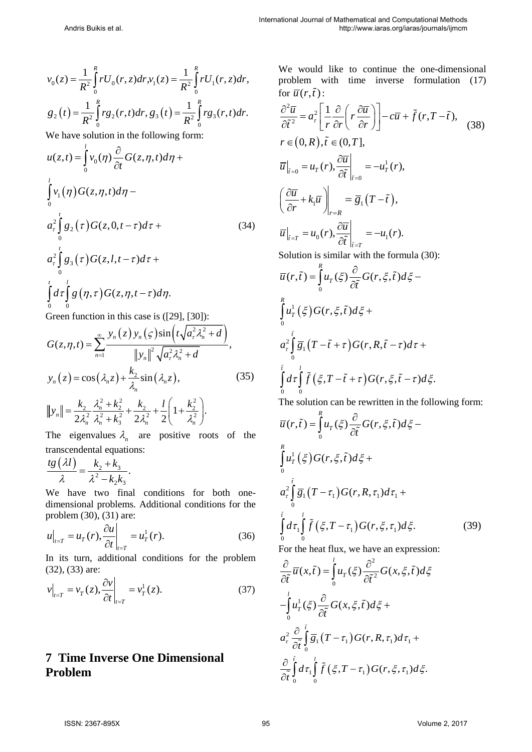$$
v_0(z) = \frac{1}{R^2} \int_0^R r U_0(r, z) dr, \quad v_1(z) = \frac{1}{R^2} \int_0^R r U_1(r, z) dr,
$$
  

$$
g_2(t) = \frac{1}{R^2} \int_0^R r g_2(r, t) dr, \quad g_3(t) = \frac{1}{R^2} \int_0^R r g_3(r, t) dr.
$$

We have solution in the following form:

$$
u(z,t) = \int_{0}^{l} v_0(\eta) \frac{\partial}{\partial t} G(z,\eta,t) d\eta +
$$
  

$$
\int_{0}^{l} v_1(\eta) G(z,\eta,t) d\eta -
$$
  

$$
a_r^2 \int_{0}^{l} g_2(\tau) G(z,0,t-\tau) d\tau +
$$
  

$$
a_r^2 \int_{0}^{l} g_3(\tau) G(z,l,t-\tau) d\tau +
$$
  

$$
\int_{0}^{l} d\tau \int_{0}^{l} g(\eta,\tau) G(z,\eta,t-\tau) d\eta.
$$
  
Green function in this case is ([29], [30]):

Green function in this case is ([29], [30]):

$$
G(z, \eta, t) = \sum_{n=1}^{\infty} \frac{y_n(z) y_n(\zeta) \sin(t \sqrt{a_x^2 \lambda_n^2 + d})}{\|y_n\|^2 \sqrt{a_x^2 \lambda_n^2 + d}},
$$
  

$$
y_n(z) = \cos(\lambda_n z) + \frac{k_2}{\lambda_n} \sin(\lambda_n z),
$$
 (35)  

$$
||y_n|| = \frac{k_2}{2\lambda_n^2} \frac{\lambda_n^2 + k_2^2}{\lambda_n^2 + k_3^2} + \frac{k_2}{2\lambda_n^2} + \frac{l}{2} \left(1 + \frac{k_2^2}{\lambda_n^2}\right).
$$

The eigenvalues  $\lambda_n$  are positive roots of the transcendental equations:

$$
\frac{tg(\lambda l)}{\lambda} = \frac{k_2 + k_3}{\lambda^2 - k_2 k_3}.
$$

We have two final conditions for both onedimensional problems. Additional conditions for the problem (30), (31) are:

$$
u\Big|_{t=T} = u_T(r), \frac{\partial u}{\partial t}\Big|_{t=T} = u_T^1(r). \tag{36}
$$

In its turn, additional conditions for the problem (32), (33) are:

$$
v\big|_{t=T} = v_T(z), \frac{\partial v}{\partial t}\big|_{t=T} = v_T^1(z). \tag{37}
$$

### **7 Time Inverse One Dimensional Problem**

We would like to continue the one-dimensional problem with time inverse formulation (17) for  $\overline{u}(r,\tilde{t})$ :

$$
\frac{\partial^2 \overline{u}}{\partial \tilde{t}^2} = a_\tau^2 \left[ \frac{1}{r} \frac{\partial}{\partial r} \left( r \frac{\partial \overline{u}}{\partial r} \right) \right] - c \overline{u} + \tilde{f}(r, T - \tilde{t}),
$$
\n(38)  
\n
$$
r \in (0, R), \tilde{t} \in (0, T],
$$
\n
$$
\overline{u} \Big|_{\tilde{t}=0} = u_T(r), \frac{\partial \overline{u}}{\partial \tilde{t}} \Big|_{\tilde{t}=0} = -u_T^1(r),
$$
\n
$$
\left( \frac{\partial \overline{u}}{\partial r} + k_1 \overline{u} \right) \Big|_{r=R} = \overline{g}_1(T - \tilde{t}),
$$
\n
$$
\overline{u} \Big|_{\tilde{t}=T} = u_0(r), \frac{\partial \overline{u}}{\partial \tilde{t}} \Big|_{\tilde{t}=T} = -u_1(r).
$$
\nSolution is similar with the formula (30):  
\n
$$
\overline{u}(r, \tilde{t}) = \int_0^R u_T(\xi) \frac{\partial}{\partial \tilde{t}} G(r, \xi, \tilde{t}) d\xi - \int_0^R u_T^1(\xi) G(r, \xi, \tilde{t}) d\xi +
$$
\n
$$
a_\tau^2 \int_0^{\tilde{t}} \overline{g}_1(T - \tilde{t} + \tau) G(r, R, \tilde{t} - \tau) d\tau +
$$

$$
\int_{0}^{\tilde{t}} d\tau \int_{0}^{\tilde{t}} \tilde{f}(\xi, T - \tilde{t} + \tau) G(r, \xi, \tilde{t} - \tau) d\xi.
$$

The solution can be rewritten in the following form:

$$
\overline{u}(r,\tilde{t}) = \int_{0}^{R} u_r(\xi) \frac{\partial}{\partial \tilde{t}} G(r,\xi,\tilde{t}) d\xi -
$$
  

$$
\int_{0}^{R} u_r^1(\xi) G(r,\xi,\tilde{t}) d\xi +
$$
  

$$
a_r^2 \int_{0}^{\tilde{t}} \overline{g}_1(T-\tau_1) G(r,R,\tau_1) d\tau_1 +
$$
  

$$
\int_{0}^{\tilde{t}} d\tau_1 \int_{0}^{l} \tilde{f}(\xi, T-\tau_1) G(r,\xi, \tau_1) d\xi.
$$
 (39)

For the heat flux, we have an expression:

$$
\frac{\partial}{\partial \tilde{t}} \overline{u}(x,\tilde{t}) = \int_{0}^{l} u_{T}(\xi) \frac{\partial^{2}}{\partial \tilde{t}^{2}} G(x,\xi,\tilde{t}) d\xi
$$
  

$$
-\int_{0}^{l} u_{T}^{1}(\xi) \frac{\partial}{\partial \tilde{t}} G(x,\xi,\tilde{t}) d\xi +
$$
  

$$
a_{\tau}^{2} \frac{\partial}{\partial \tilde{t}} \int_{0}^{\tilde{t}} \overline{g}_{1}(T - \tau_{1}) G(r,R,\tau_{1}) d\tau_{1} +
$$
  

$$
\frac{\partial}{\partial \tilde{t}} \int_{0}^{\tilde{t}} d\tau_{1} \int_{0}^{l} \tilde{f}(\xi, T - \tau_{1}) G(r,\xi,\tau_{1}) d\xi.
$$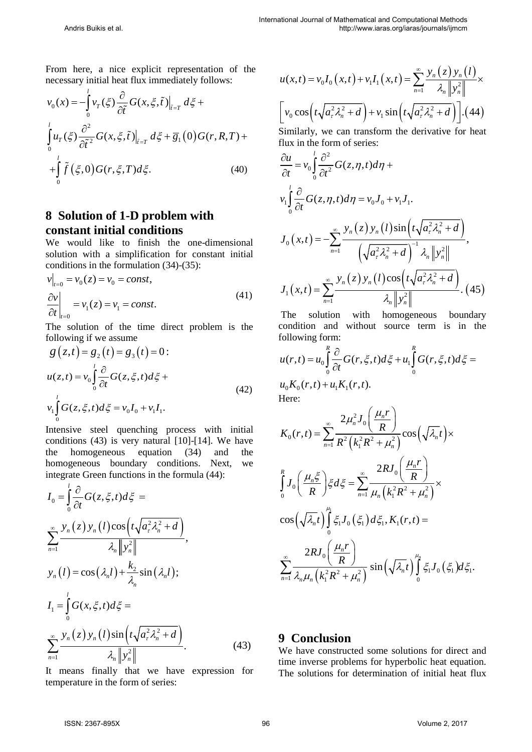From here, a nice explicit representation of the necessary initial heat flux immediately follows:

$$
v_0(x) = -\int_0^l v_T(\xi) \frac{\partial}{\partial \tilde{t}} G(x, \xi, \tilde{t}) \Big|_{\tilde{t} = T} d\xi +
$$
  

$$
\int_0^l u_T(\xi) \frac{\partial^2}{\partial \tilde{t}^2} G(x, \xi, \tilde{t}) \Big|_{\tilde{t} = T} d\xi + \overline{g}_1(0) G(r, R, T) +
$$
  

$$
+ \int_0^l \tilde{f}(\xi, 0) G(r, \xi, T) d\xi.
$$
 (40)

### **8 Solution of 1-D problem with constant initial conditions**

We would like to finish the one-dimensional solution with a simplification for constant initial conditions in the formulation (34)-(35):

$$
\begin{aligned} v\big|_{t=0} &= v_0(z) = v_0 = const, \\ \frac{\partial v}{\partial t}\big|_{t=0} &= v_1(z) = v_1 = const. \end{aligned} \tag{41}
$$

The solution of the time direct problem is the following if we assume

$$
g(z,t) = g_2(t) = g_3(t) = 0:
$$
  

$$
u(z,t) = v_0 \int_0^t \frac{\partial}{\partial t} G(z,\xi,t) d\xi +
$$
  

$$
v_1 \int_0^t G(z,\xi,t) d\xi = v_0 I_0 + v_1 I_1.
$$
 (42)

Intensive steel quenching process with initial conditions (43) is very natural [10]-[14]. We have the homogeneous equation (34) and the homogeneous boundary conditions. Next, we integrate Green functions in the formula (44):

$$
I_0 = \int_0^l \frac{\partial}{\partial t} G(z, \xi, t) d\xi =
$$
  
\n
$$
\sum_{n=1}^{\infty} \frac{y_n(z) y_n(l) \cos(t \sqrt{a_x^2 \lambda_n^2 + d})}{\lambda_n ||y_n^2||},
$$
  
\n
$$
y_n(l) = \cos(\lambda_n l) + \frac{k_2}{\lambda_n} \sin(\lambda_n l);
$$
  
\n
$$
I_1 = \int_0^l G(x, \xi, t) d\xi =
$$
  
\n
$$
\sum_{n=1}^{\infty} \frac{y_n(z) y_n(l) \sin(t \sqrt{a_x^2 \lambda_n^2 + d})}{\lambda_n ||y_n^2||}.
$$
\n(43)

It means finally that we have expression for temperature in the form of series:

$$
u(x,t) = v_0 I_0(x,t) + v_1 I_1(x,t) = \sum_{n=1}^{\infty} \frac{y_n(z) y_n(t)}{\lambda_n \|y_n^2\|} \times
$$

$$
\left[ v_0 \cos\left(t \sqrt{a_x^2 \lambda_n^2 + d}\right) + v_1 \sin\left(t \sqrt{a_x^2 \lambda_n^2 + d}\right) \right]. \tag{44}
$$

Similarly, we can transform the derivative for heat flux in the form of series:

$$
\frac{\partial u}{\partial t} = v_0 \int_0^l \frac{\partial^2}{\partial t^2} G(z, \eta, t) d\eta + v_1 \int_0^l \frac{\partial}{\partial t} G(z, \eta, t) d\eta = v_0 J_0 + v_1 J_1.
$$
  

$$
J_0(x, t) = -\sum_{n=1}^\infty \frac{y_n(z) y_n(l) \sin(t \sqrt{a_r^2 \lambda_n^2 + d})}{\left(\sqrt{a_r^2 \lambda_n^2 + d}\right)^{-1} \lambda_n \|y_n^2\|},
$$
  

$$
J_1(x, t) = \sum_{n=1}^\infty \frac{y_n(z) y_n(l) \cos(t \sqrt{a_r^2 \lambda_n^2 + d})}{\lambda_n \|y_n^2\|}. \tag{45}
$$

The solution with homogeneous boundary condition and without source term is in the following form:

$$
u(r,t) = u_0 \int_0^R \frac{\partial}{\partial t} G(r,\xi,t) d\xi + u_1 \int_0^R G(r,\xi,t) d\xi =
$$
  

$$
u_0 K_0(r,t) + u_1 K_1(r,t).
$$
  
Here:

$$
K_0(r,t) = \sum_{n=1}^{\infty} \frac{2\mu_n^2 J_0\left(\frac{\mu_n r}{R}\right)}{R^2 \left(k_1^2 R^2 + \mu_n^2\right)} \cos\left(\sqrt{\lambda_n}t\right) \times
$$

$$
\int_0^R J_0\left(\frac{\mu_n \xi}{R}\right) \xi d\xi = \sum_{n=1}^{\infty} \frac{2R J_0\left(\frac{\mu_n r}{R}\right)}{\mu_n \left(k_1^2 R^2 + \mu_n^2\right)} \times
$$

$$
\cos\left(\sqrt{\lambda_n}t\right) \int_0^{\mu_1} \xi_1 J_0\left(\xi_1\right) d\xi_1, K_1(r,t) =
$$

$$
\sum_{n=1}^{\infty} \frac{2R J_0\left(\frac{\mu_n r}{R}\right)}{\lambda_n \mu_n \left(k_1^2 R^2 + \mu_n^2\right)} \sin\left(\sqrt{\lambda_n}t\right) \int_0^{\mu_n} \xi_1 J_0\left(\xi_1\right) d\xi_1.
$$

#### **9 Conclusion**

We have constructed some solutions for direct and time inverse problems for hyperbolic heat equation. The solutions for determination of initial heat flux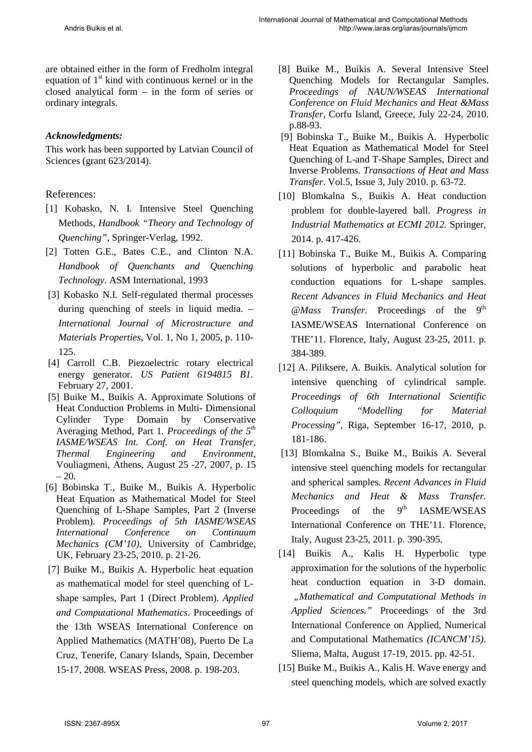are obtained either in the form of Fredholm integral equation of  $1<sup>st</sup>$  kind with continuous kernel or in the closed analytical form – in the form of series or ordinary integrals.

#### *Acknowledgments:*

This work has been supported by Latvian Council of Sciences (grant 623/2014).

#### References:

- [1] Kobasko, N. I. Intensive Steel Quenching Methods, *Handbook "Theory and Technology of Quenching"*, Springer-Verlag, 1992.
- [2] Totten G.E., Bates C.E., and Clinton N.A. *Handbook of Quenchants and Quenching Technology.* ASM International, 1993
- [3] Kobasko N.I. Self-regulated thermal processes during quenching of steels in liquid media. – *International Journal of Microstructure and Materials Properties*, Vol. 1, No 1, 2005, p. 110- 125.
- [4] Carroll C.B. Piezoelectric rotary electrical energy generator. *US Patient 6194815 B1.* February 27, 2001.
- [5] Buike M., Buikis A. Approximate Solutions of Heat Conduction Problems in Multi- Dimensional Cylinder Type Domain by Conservative Averaging Method, Part 1*. Proceedings of the 5th IASME/WSEAS Int. Conf. on Heat Transfer, Thermal Engineering and Environment,*  Vouliagmeni, Athens, August 25 -27, 2007, p. 15  $-20.$
- [6] Bobinska T., Buike M., Buikis A. Hyperbolic Heat Equation as Mathematical Model for Steel Quenching of L-Shape Samples, Part 2 (Inverse Problem). *Proceedings of 5th IASME/WSEAS International Conference on Continuum Mechanics (CM'10),* University of Cambridge, UK, February 23-25, 2010. p. 21-26.
- [7] Buike M., Buikis A*.* Hyperbolic heat equation as mathematical model for steel quenching of Lshape samples, Part 1 (Direct Problem). *Applied and Computational Mathematics.* Proceedings of the 13th WSEAS International Conference on Applied Mathematics (MATH'08), Puerto De La Cruz, Tenerife, Canary Islands, Spain, December 15-17, 2008. WSEAS Press, 2008. p. 198-203.
- [8] Buike M., Buikis A. Several Intensive Steel Quenching Models for Rectangular Samples. *Proceedings of NAUN/WSEAS International Conference on Fluid Mechanics and Heat &Mass Transfer,* Corfu Island, Greece, July 22-24, 2010. p.88-93.
- [9] Bobinska T., Buike M., Buikis A. Hyperbolic Heat Equation as Mathematical Model for Steel Quenching of L-and T-Shape Samples, Direct and Inverse Problems. *Transactions of Heat and Mass Transfer*. Vol.5, Issue 3, July 2010. p. 63-72.
- [10] Blomkalna S., Buikis A. Heat conduction problem for double-layered ball. *Progress in Industrial Mathematics at ECMI 2012.* Springer, 2014. p. 417-426.
- [11] Bobinska T., Buike M., Buikis A*.* Comparing solutions of hyperbolic and parabolic heat conduction equations for L-shape samples. *Recent Advances in Fluid Mechanics and Heat* @Mass Transfer. Proceedings of the 9<sup>th</sup> IASME/WSEAS International Conference on THE'11. Florence, Italy, August 23-25, 2011. p. 384-389.
- [12] A. Piliksere, A. Buikis. Analytical solution for intensive quenching of cylindrical sample. *Proceedings of 6th International Scientific Colloquium "Modelling for Material Processing",* Riga, September 16-17, 2010, p. 181-186.
- [13] Blomkalna S., Buike M., Buikis A. Several intensive steel quenching models for rectangular and spherical samples*. Recent Advances in Fluid Mechanics and Heat & Mass Transfer.*  Proceedings of the  $9<sup>th</sup>$  IASME/WSEAS International Conference on THE'11. Florence, Italy, August 23-25, 2011. p. 390-395.
- [14] Buikis A., Kalis H. Hyperbolic type approximation for the solutions of the hyperbolic heat conduction equation in 3-D domain. *"Mathematical and Computational Methods in Applied Sciences."* Proceedings of the 3rd International Conference on Applied, Numerical and Computational Mathematics *(ICANCM'15)*. Sliema, Malta, August 17-19, 2015. pp. 42-51.
- [15] Buike M., Buikis A., Kalis H. Wave energy and steel quenching models, which are solved exactly